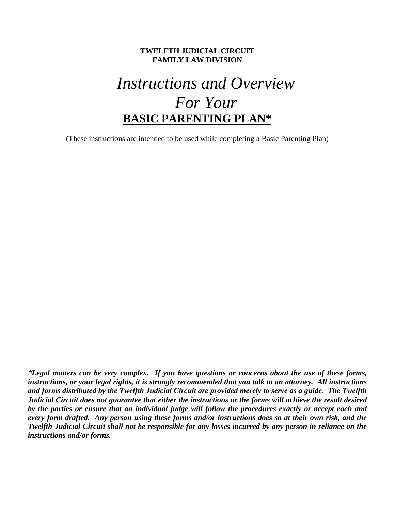#### **TWELFTH JUDICIAL CIRCUIT FAMILY LAW DIVISION**

# *Instructions and Overview For Your*  **BASIC PARENTING PLAN\***

(These instructions are intended to be used while completing a Basic Parenting Plan)

*\*Legal matters can be very complex. If you have questions or concerns about the use of these forms, instructions, or your legal rights, it is strongly recommended that you talk to an attorney. All instructions and forms distributed by the Twelfth Judicial Circuit are provided merely to serve as a guide. The Twelfth Judicial Circuit does not guarantee that either the instructions or the forms will achieve the result desired by the parties or ensure that an individual judge will follow the procedures exactly or accept each and every form drafted. Any person using these forms and/or instructions does so at their own risk, and the Twelfth Judicial Circuit shall not be responsible for any losses incurred by any person in reliance on the instructions and/or forms.*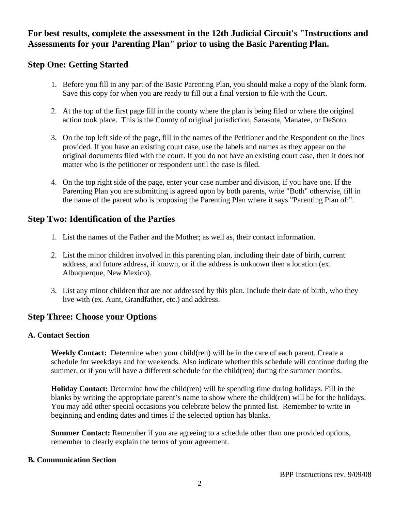## **For best results, complete the assessment in the 12th Judicial Circuit's "Instructions and Assessments for your Parenting Plan" prior to using the Basic Parenting Plan.**

## **Step One: Getting Started**

- 1. Before you fill in any part of the Basic Parenting Plan, you should make a copy of the blank form. Save this copy for when you are ready to fill out a final version to file with the Court.
- 2. At the top of the first page fill in the county where the plan is being filed or where the original action took place. This is the County of original jurisdiction, Sarasota, Manatee, or DeSoto.
- 3. On the top left side of the page, fill in the names of the Petitioner and the Respondent on the lines provided. If you have an existing court case, use the labels and names as they appear on the original documents filed with the court. If you do not have an existing court case, then it does not matter who is the petitioner or respondent until the case is filed.
- 4. On the top right side of the page, enter your case number and division, if you have one. If the Parenting Plan you are submitting is agreed upon by both parents, write "Both" otherwise, fill in the name of the parent who is proposing the Parenting Plan where it says "Parenting Plan of:".

## **Step Two: Identification of the Parties**

- 1. List the names of the Father and the Mother; as well as, their contact information.
- 2. List the minor children involved in this parenting plan, including their date of birth, current address, and future address, if known, or if the address is unknown then a location (ex. Albuquerque, New Mexico).
- 3. List any minor children that are not addressed by this plan. Include their date of birth, who they live with (ex. Aunt, Grandfather, etc.) and address.

## **Step Three: Choose your Options**

### **A. Contact Section**

**Weekly Contact:** Determine when your child(ren) will be in the care of each parent. Create a schedule for weekdays and for weekends. Also indicate whether this schedule will continue during the summer, or if you will have a different schedule for the child(ren) during the summer months.

**Holiday Contact:** Determine how the child(ren) will be spending time during holidays. Fill in the blanks by writing the appropriate parent's name to show where the child(ren) will be for the holidays. You may add other special occasions you celebrate below the printed list. Remember to write in beginning and ending dates and times if the selected option has blanks.

**Summer Contact:** Remember if you are agreeing to a schedule other than one provided options, remember to clearly explain the terms of your agreement.

### **B. Communication Section**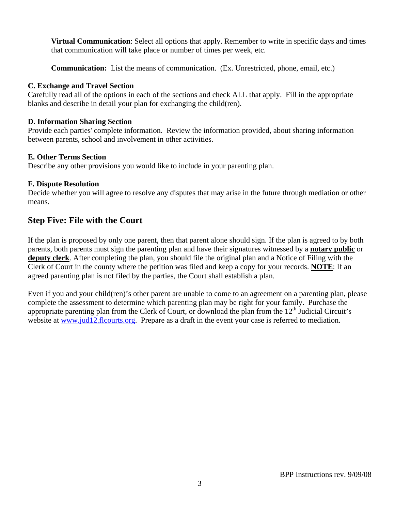**Virtual Communication**: Select all options that apply. Remember to write in specific days and times that communication will take place or number of times per week, etc.

**Communication:** List the means of communication. (Ex. Unrestricted, phone, email, etc.)

#### **C. Exchange and Travel Section**

Carefully read all of the options in each of the sections and check ALL that apply. Fill in the appropriate blanks and describe in detail your plan for exchanging the child(ren).

#### **D. Information Sharing Section**

Provide each parties' complete information. Review the information provided, about sharing information between parents, school and involvement in other activities.

#### **E. Other Terms Section**

Describe any other provisions you would like to include in your parenting plan.

#### **F. Dispute Resolution**

Decide whether you will agree to resolve any disputes that may arise in the future through mediation or other means.

## **Step Five: File with the Court**

If the plan is proposed by only one parent, then that parent alone should sign. If the plan is agreed to by both parents, both parents must sign the parenting plan and have their signatures witnessed by a **notary public** or **deputy clerk**. After completing the plan, you should file the original plan and a Notice of Filing with the Clerk of Court in the county where the petition was filed and keep a copy for your records. **NOTE**: If an agreed parenting plan is not filed by the parties, the Court shall establish a plan.

Even if you and your child(ren)'s other parent are unable to come to an agreement on a parenting plan, please complete the assessment to determine which parenting plan may be right for your family. Purchase the appropriate parenting plan from the Clerk of Court, or download the plan from the  $12<sup>th</sup>$  Judicial Circuit's website at www.jud12.flcourts.org. Prepare as a draft in the event your case is referred to mediation.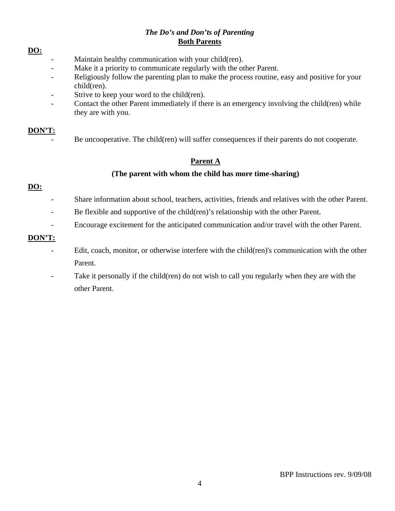#### *The Do's and Don'ts of Parenting*  **Both Parents**

#### **DO:**

- Maintain healthy communication with your child(ren).
- Make it a priority to communicate regularly with the other Parent.
- Religiously follow the parenting plan to make the process routine, easy and positive for your child(ren).
- Strive to keep your word to the child(ren).
- Contact the other Parent immediately if there is an emergency involving the child(ren) while they are with you.

### **DON'T:**

Be uncooperative. The child(ren) will suffer consequences if their parents do not cooperate.

### **Parent A**

### **(The parent with whom the child has more time-sharing)**

### **DO:**

- Share information about school, teachers, activities, friends and relatives with the other Parent.
- Be flexible and supportive of the child(ren)'s relationship with the other Parent.
- Encourage excitement for the anticipated communication and/or travel with the other Parent.

### **DON'T:**

- Edit, coach, monitor, or otherwise interfere with the child(ren)'s communication with the other Parent.
- Take it personally if the child(ren) do not wish to call you regularly when they are with the other Parent.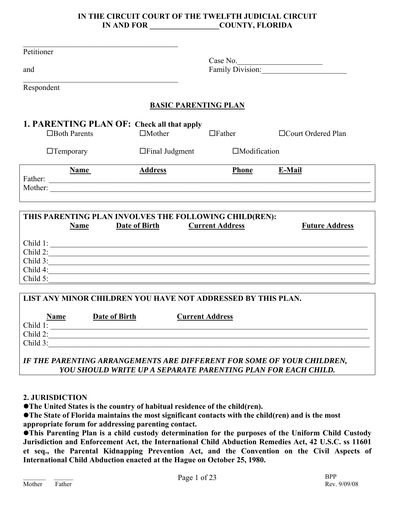### **IN THE CIRCUIT COURT OF THE TWELFTH JUDICIAL CIRCUIT IN AND FOR COUNTY, FLORIDA**

| Petitioner                                                                                       |                             |                        |                              |
|--------------------------------------------------------------------------------------------------|-----------------------------|------------------------|------------------------------|
| and                                                                                              |                             |                        | Case No.<br>Family Division: |
| Respondent                                                                                       |                             |                        |                              |
|                                                                                                  |                             |                        |                              |
|                                                                                                  | <b>BASIC PARENTING PLAN</b> |                        |                              |
| 1. PARENTING PLAN OF: Check all that apply<br>$\Box$ Both Parents                                | $\Box$ Mother               | $\Box$ Father          | □ Court Ordered Plan         |
| $\Box$ Temporary                                                                                 | $\Box$ Final Judgment       | $\Box$ Modification    |                              |
| <b>Name</b>                                                                                      |                             | <b>Phone</b>           | E-Mail                       |
|                                                                                                  | <b>Address</b>              |                        |                              |
|                                                                                                  |                             |                        |                              |
|                                                                                                  |                             |                        |                              |
|                                                                                                  |                             |                        |                              |
|                                                                                                  |                             |                        |                              |
| THIS PARENTING PLAN INVOLVES THE FOLLOWING CHILD(REN):                                           |                             |                        |                              |
| Name                                                                                             | <b>Date of Birth</b>        | <b>Current Address</b> | <b>Future Address</b>        |
|                                                                                                  |                             |                        |                              |
|                                                                                                  |                             |                        |                              |
|                                                                                                  |                             |                        |                              |
|                                                                                                  |                             |                        |                              |
|                                                                                                  |                             |                        |                              |
|                                                                                                  |                             |                        |                              |
| Child 1:<br>Child 2:<br>Child 3:<br>Child 4:                                                     |                             |                        |                              |
|                                                                                                  |                             |                        |                              |
| <b>Date of Birth</b><br><b>Name</b>                                                              |                             | <b>Current Address</b> |                              |
| Child 1:                                                                                         |                             |                        |                              |
| Child 5:<br>LIST ANY MINOR CHILDREN YOU HAVE NOT ADDRESSED BY THIS PLAN.<br>Child 2:<br>Child 3: |                             |                        |                              |

### **2. JURISDICTION**

**•The United States is the country of habitual residence of the child(ren).** 

**• The State of Florida maintains the most significant contacts with the child(ren) and is the most appropriate forum for addressing parenting contact.** 

**This Parenting Plan is a child custody determination for the purposes of the Uniform Child Custody Jurisdiction and Enforcement Act, the International Child Abduction Remedies Act, 42 U.S.C. ss 11601 et seq., the Parental Kidnapping Prevention Act, and the Convention on the Civil Aspects of International Child Abduction enacted at the Hague on October 25, 1980.**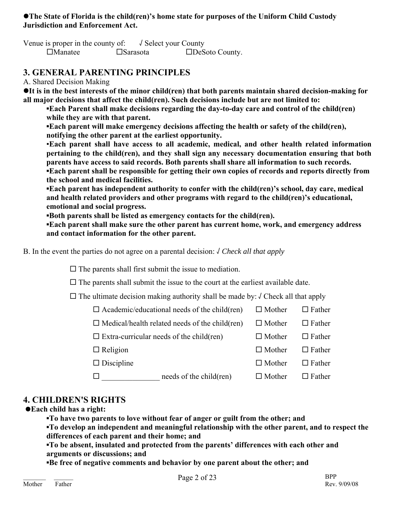### **• The State of Florida is the child(ren)'s home state for purposes of the Uniform Child Custody Jurisdiction and Enforcement Act.**

Venue is proper in the county of:  $\sqrt{\text{Select}}$  your County □Manatee □Sarasota □DeSoto County.

## **3. GENERAL PARENTING PRINCIPLES**

A. Shared Decision Making

**It is in the best interests of the minor child(ren) that both parents maintain shared decision-making for all major decisions that affect the child(ren). Such decisions include but are not limited to:** 

**Each Parent shall make decisions regarding the day-to-day care and control of the child(ren) while they are with that parent.** 

**▪Each parent will make emergency decisions affecting the health or safety of the child(ren), notifying the other parent at the earliest opportunity.** 

▪**Each parent shall have access to all academic, medical, and other health related information pertaining to the child(ren), and they shall sign any necessary documentation ensuring that both parents have access to said records. Both parents shall share all information to such records. ▪Each parent shall be responsible for getting their own copies of records and reports directly from** 

 **the school and medical facilities.** 

**▪Each parent has independent authority to confer with the child(ren)'s school, day care, medical and health related providers and other programs with regard to the child(ren)'s educational, emotional and social progress.** 

**▪Both parents shall be listed as emergency contacts for the child(ren).** 

**▪Each parent shall make sure the other parent has current home, work, and emergency address and contact information for the other parent.** 

B. In the event the parties do not agree on a parental decision: √ *Check all that apply*

 $\square$  The parents shall first submit the issue to mediation.

 $\square$  The parents shall submit the issue to the court at the earliest available date.

 $\Box$  The ultimate decision making authority shall be made by:  $\Diamond$  Check all that apply

 $\Box$  Academic/educational needs of the child(ren)  $\Box$  Mother  $\Box$  Father

 $\Box$  Medical/health related needs of the child(ren)  $\Box$  Mother  $\Box$  Father

 $\Box$  Extra-curricular needs of the child(ren)  $\Box$  Mother  $\Box$  Father

 $\Box$  Religion  $\Box$  Mother  $\Box$  Father

 $\square$  Discipline  $\square$  Mother  $\square$  Father

 $\square$  \_\_\_\_\_\_\_\_\_\_\_\_\_\_\_\_\_ needs of the child(ren)  $\square$  Mother  $\square$  Father

## **4. CHILDREN'S RIGHTS**

z**Each child has a right:** 

**▪To have two parents to love without fear of anger or guilt from the other; and** 

**▪To develop an independent and meaningful relationship with the other parent, and to respect the differences of each parent and their home; and** 

**▪To be absent, insulated and protected from the parents' differences with each other and arguments or discussions; and** 

**▪Be free of negative comments and behavior by one parent about the other; and**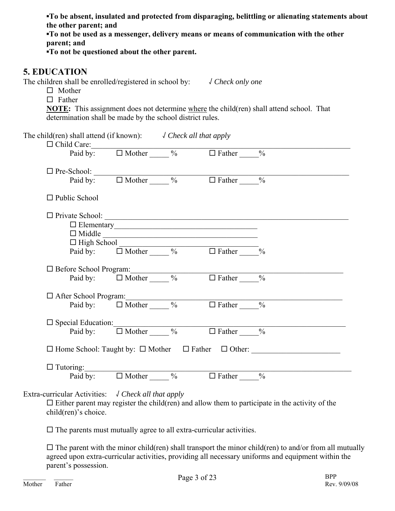**▪To be absent, insulated and protected from disparaging, belittling or alienating statements about the other parent; and** 

**▪To not be used as a messenger, delivery means or means of communication with the other parent; and** 

**▪To not be questioned about the other parent.** 

## **5. EDUCATION**

The children shall be enrolled/registered in school by: √ *Check only one* 

 $\Box$  Mother  $\Box$  Father

**NOTE:** This assignment does not determine where the child(ren) shall attend school. That determination shall be made by the school district rules.

| The child(ren) shall attend (if known): $\sqrt{C}$ <i>Check all that apply</i>          |  |                                                                                  |                                                                          |
|-----------------------------------------------------------------------------------------|--|----------------------------------------------------------------------------------|--------------------------------------------------------------------------|
| $\Box$ Child Care:<br>Paid by: $\Box$ Mother $\_\_\_\%$ $\Box$ Father $\_\_\_\%$        |  |                                                                                  |                                                                          |
|                                                                                         |  |                                                                                  |                                                                          |
| $\Box$ Pre-School:<br>Paid by: $\Box$ Mother $\_\_\_\%$ $\Box$ Father $\_\_\_\%$        |  |                                                                                  |                                                                          |
| $\Box$ Public School                                                                    |  |                                                                                  |                                                                          |
|                                                                                         |  |                                                                                  |                                                                          |
|                                                                                         |  | $\Box$ Elementary                                                                |                                                                          |
|                                                                                         |  |                                                                                  |                                                                          |
|                                                                                         |  | $\Box$ High School<br>Paid by: $\Box$ Mother $\_\_\_\%$ $\Box$ Father $\_\_\_\%$ |                                                                          |
|                                                                                         |  |                                                                                  |                                                                          |
|                                                                                         |  |                                                                                  |                                                                          |
| □ Before School Program:<br>Paid by: □ Mother _____ % □ Father ____%                    |  |                                                                                  |                                                                          |
|                                                                                         |  |                                                                                  |                                                                          |
| □ After School Program:<br>Paid by: □ Mother _____ % □ Father ____%                     |  |                                                                                  |                                                                          |
|                                                                                         |  |                                                                                  |                                                                          |
| $\Box$ Special Education:<br>Paid by: $\Box$ Mother $\_\_\_$ % $\Box$ Father $\_\_\_$ % |  |                                                                                  |                                                                          |
|                                                                                         |  |                                                                                  | $\Box$ Home School: Taught by: $\Box$ Mother $\Box$ Father $\Box$ Other: |
|                                                                                         |  |                                                                                  |                                                                          |
| $\Box$ Tutoring:<br>Paid by: $\Box$ Mother $\_\_\_$ % $\Box$ Father $\_\_\_$ %          |  |                                                                                  |                                                                          |

Extra-curricular Activities: √ *Check all that apply*

 $\square$  Either parent may register the child(ren) and allow them to participate in the activity of the child(ren)'s choice.

 $\Box$  The parents must mutually agree to all extra-curricular activities.

 $\Box$  The parent with the minor child(ren) shall transport the minor child(ren) to and/or from all mutually agreed upon extra-curricular activities, providing all necessary uniforms and equipment within the parent's possession.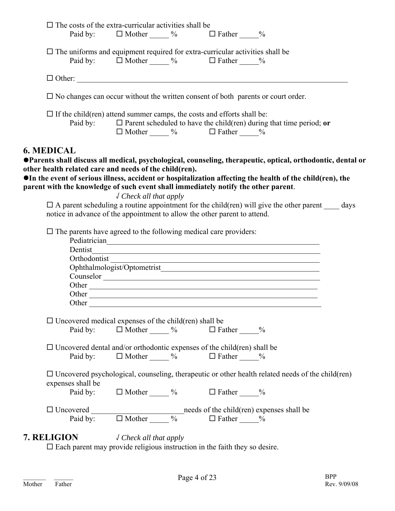|                                                                                                                                                                                                                                                                                                                                                                                                                                                       |                                                              | $\Box$ The costs of the extra-curricular activities shall be<br>Paid by: $\Box$ Mother $\_\_\_\%$ $\Box$ Father $\_\_\_\%$ |                                                                                                                 |  |
|-------------------------------------------------------------------------------------------------------------------------------------------------------------------------------------------------------------------------------------------------------------------------------------------------------------------------------------------------------------------------------------------------------------------------------------------------------|--------------------------------------------------------------|----------------------------------------------------------------------------------------------------------------------------|-----------------------------------------------------------------------------------------------------------------|--|
| $\Box$ The uniforms and equipment required for extra-curricular activities shall be                                                                                                                                                                                                                                                                                                                                                                   | Paid by: $\Box$ Mother $\_\_\_\%$ $\Box$ Father $\_\_\_\%$   |                                                                                                                            |                                                                                                                 |  |
|                                                                                                                                                                                                                                                                                                                                                                                                                                                       |                                                              |                                                                                                                            |                                                                                                                 |  |
| $\square$ No changes can occur without the written consent of both parents or court order.                                                                                                                                                                                                                                                                                                                                                            |                                                              |                                                                                                                            |                                                                                                                 |  |
| $\Box$ If the child (ren) attend summer camps, the costs and efforts shall be:<br>Paid by:                                                                                                                                                                                                                                                                                                                                                            |                                                              | $\Box$ Mother $\Box$ % $\Box$ Father $\Box$ %                                                                              | $\Box$ Parent scheduled to have the child(ren) during that time period; or                                      |  |
| ●Parents shall discuss all medical, psychological, counseling, therapeutic, optical, orthodontic, dental or<br>other health related care and needs of the child(ren).<br>OIn the event of serious illness, accident or hospitalization affecting the health of the child(ren), the<br>parent with the knowledge of such event shall immediately notify the other parent.<br>notice in advance of the appointment to allow the other parent to attend. | $\sqrt$ Check all that apply                                 |                                                                                                                            | $\Box$ A parent scheduling a routine appointment for the child(ren) will give the other parent $\Box$ days      |  |
|                                                                                                                                                                                                                                                                                                                                                                                                                                                       |                                                              |                                                                                                                            |                                                                                                                 |  |
| $\Box$ The parents have agreed to the following medical care providers:                                                                                                                                                                                                                                                                                                                                                                               |                                                              |                                                                                                                            | Pediatrician entre a contra de la contra de la contra de la contra de la contra de la contra de la contra de la |  |
|                                                                                                                                                                                                                                                                                                                                                                                                                                                       |                                                              |                                                                                                                            |                                                                                                                 |  |
|                                                                                                                                                                                                                                                                                                                                                                                                                                                       |                                                              |                                                                                                                            |                                                                                                                 |  |
|                                                                                                                                                                                                                                                                                                                                                                                                                                                       |                                                              |                                                                                                                            |                                                                                                                 |  |
|                                                                                                                                                                                                                                                                                                                                                                                                                                                       |                                                              |                                                                                                                            |                                                                                                                 |  |
|                                                                                                                                                                                                                                                                                                                                                                                                                                                       |                                                              |                                                                                                                            |                                                                                                                 |  |
|                                                                                                                                                                                                                                                                                                                                                                                                                                                       |                                                              |                                                                                                                            |                                                                                                                 |  |
| Other                                                                                                                                                                                                                                                                                                                                                                                                                                                 |                                                              |                                                                                                                            |                                                                                                                 |  |
|                                                                                                                                                                                                                                                                                                                                                                                                                                                       |                                                              |                                                                                                                            |                                                                                                                 |  |
| $\Box$ Uncovered medical expenses of the child (ren) shall be<br>Paid by:                                                                                                                                                                                                                                                                                                                                                                             |                                                              |                                                                                                                            |                                                                                                                 |  |
|                                                                                                                                                                                                                                                                                                                                                                                                                                                       | $\Box$ Mother $\_\_\_\%$ $\Box$ Father $\_\_\_\%$            |                                                                                                                            |                                                                                                                 |  |
| $\Box$ Uncovered dental and/or orthodontic expenses of the child(ren) shall be                                                                                                                                                                                                                                                                                                                                                                        |                                                              |                                                                                                                            |                                                                                                                 |  |
| Paid by:                                                                                                                                                                                                                                                                                                                                                                                                                                              | $\Box$ Mother $\_\_\_\_\%$ $\Box$ Father $\_\_\_\\%$         |                                                                                                                            |                                                                                                                 |  |
|                                                                                                                                                                                                                                                                                                                                                                                                                                                       |                                                              |                                                                                                                            | $\Box$ Uncovered psychological, counseling, therapeutic or other health related needs of the child (ren)        |  |
| expenses shall be                                                                                                                                                                                                                                                                                                                                                                                                                                     | Paid by: $\Box$ Mother $\_\_\_\_$ % $\Box$ Father $\_\_\_$ % |                                                                                                                            |                                                                                                                 |  |
|                                                                                                                                                                                                                                                                                                                                                                                                                                                       |                                                              |                                                                                                                            |                                                                                                                 |  |
|                                                                                                                                                                                                                                                                                                                                                                                                                                                       |                                                              |                                                                                                                            |                                                                                                                 |  |

Each parent may provide religious instruction in the faith they so desire.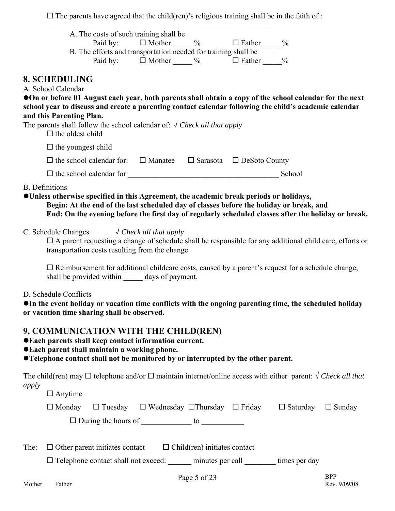$\Box$  <br> The parents have agreed that the child(ren)'s religious training shall be in the faith of :

|        | A. The costs of such training shall be<br>$\Box$ Mother $\Box$ $\%$ $\Box$ Father $\Box$<br>Paid by:                                                                                                                                                                                                               |                            |
|--------|--------------------------------------------------------------------------------------------------------------------------------------------------------------------------------------------------------------------------------------------------------------------------------------------------------------------|----------------------------|
|        | B. The efforts and transportation needed for training shall be<br>Paid by: $\Box$ Mother $\_\_\_\%$ $\Box$ Father $\_\_\_\%$                                                                                                                                                                                       |                            |
|        | <b>8. SCHEDULING</b><br>A. School Calendar<br>On or before 01 August each year, both parents shall obtain a copy of the school calendar for the next<br>school year to discuss and create a parenting contact calendar following the child's academic calendar                                                     |                            |
|        | and this Parenting Plan.<br>The parents shall follow the school calendar of: $\sqrt{C}$ Check all that apply<br>$\Box$ the oldest child                                                                                                                                                                            |                            |
|        | $\Box$ the youngest child                                                                                                                                                                                                                                                                                          |                            |
|        | $\Box$ the school calendar for: $\Box$ Manatee $\Box$ Sarasota $\Box$ DeSoto County                                                                                                                                                                                                                                |                            |
|        | School                                                                                                                                                                                                                                                                                                             |                            |
|        | <b>B.</b> Definitions<br>• Unless otherwise specified in this Agreement, the academic break periods or holidays,<br>Begin: At the end of the last scheduled day of classes before the holiday or break, and<br>End: On the evening before the first day of regularly scheduled classes after the holiday or break. |                            |
|        | C. Schedule Changes $\sqrt{C}$ Check all that apply<br>$\Box$ A parent requesting a change of schedule shall be responsible for any additional child care, efforts or<br>transportation costs resulting from the change.                                                                                           |                            |
|        | $\Box$ Reimbursement for additional childcare costs, caused by a parent's request for a schedule change,<br>shall be provided within _______ days of payment.                                                                                                                                                      |                            |
|        | D. Schedule Conflicts<br>• In the event holiday or vacation time conflicts with the ongoing parenting time, the scheduled holiday<br>or vacation time sharing shall be observed.                                                                                                                                   |                            |
|        | 9. COMMUNICATION WITH THE CHILD(REN)<br>● Each parents shall keep contact information current.<br>● Each parent shall maintain a working phone.<br>•Telephone contact shall not be monitored by or interrupted by the other parent.                                                                                |                            |
| apply  | The child(ren) may $\Box$ telephone and/or $\Box$ maintain internet/online access with either parent: $\sqrt{C \text{heck}}$ all that                                                                                                                                                                              |                            |
|        | $\Box$ Anytime                                                                                                                                                                                                                                                                                                     |                            |
|        | $\Box$ Monday $\Box$ Tuesday $\Box$ Wednesday $\Box$ Thursday $\Box$ Friday $\Box$ Saturday $\Box$ Sunday                                                                                                                                                                                                          |                            |
|        | $\Box$ During the hours of $\_\_\_\_\_\_\_\_\_\_\_\_\_\_\_\_\_\_$                                                                                                                                                                                                                                                  |                            |
| The:   | $\Box$ Other parent initiates contact $\Box$ Child(ren) initiates contact                                                                                                                                                                                                                                          |                            |
|        | □ Telephone contact shall not exceed: ______ minutes per call _______ times per day                                                                                                                                                                                                                                |                            |
| Mother | Page 5 of 23<br>Father                                                                                                                                                                                                                                                                                             | <b>BPP</b><br>Rev. 9/09/08 |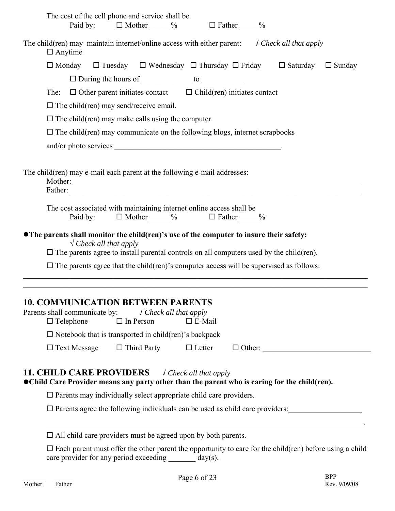| The cost of the cell phone and service shall be<br>Paid by: $\Box$ Mother $\_\_\_\%$<br>$\Box$ Father %                                                                                                                                                                                     |
|---------------------------------------------------------------------------------------------------------------------------------------------------------------------------------------------------------------------------------------------------------------------------------------------|
| The child(ren) may maintain internet/online access with either parent: $\sqrt{C}$ / $\sqrt{C}$ / $\sqrt{C}$ / $\sqrt{C}$ / $\sqrt{C}$ / $\sqrt{C}$ / $\sqrt{C}$ / $\sqrt{C}$ / $\sqrt{C}$ / $\sqrt{C}$ / $\sqrt{C}$ / $\sqrt{C}$ / $\sqrt{C}$ / $\sqrt{C}$ / $\sqrt{C}$ /<br>$\Box$ Anytime |
| $\Box$ Monday $\Box$ Tuesday $\Box$ Wednesday $\Box$ Thursday $\Box$ Friday $\Box$ Saturday<br>$\Box$ Sunday                                                                                                                                                                                |
| $\Box$ During the hours of $\_\_\_\_\_\_\_\_\_\_\_\_\_\_\_\_\_\_\_\_\_\_$                                                                                                                                                                                                                   |
| $\Box$ Other parent initiates contact $\Box$ Child(ren) initiates contact<br>The:                                                                                                                                                                                                           |
| $\Box$ The child(ren) may send/receive email.                                                                                                                                                                                                                                               |
| $\Box$ The child(ren) may make calls using the computer.                                                                                                                                                                                                                                    |
| $\Box$ The child(ren) may communicate on the following blogs, internet scrapbooks                                                                                                                                                                                                           |
|                                                                                                                                                                                                                                                                                             |
| The child (ren) may e-mail each parent at the following e-mail addresses:                                                                                                                                                                                                                   |
| Father:                                                                                                                                                                                                                                                                                     |
| The cost associated with maintaining internet online access shall be<br>$\Box$ Mother $\_\_\_\%$ $\Box$ Father $\_\_\_$<br>Paid by:                                                                                                                                                         |
| • The parents shall monitor the child(ren)'s use of the computer to insure their safety:<br>$\sqrt{\text{Check all that apply}}$                                                                                                                                                            |
| $\Box$ The parents agree to install parental controls on all computers used by the child (ren).                                                                                                                                                                                             |
| $\Box$ The parents agree that the child (ren)'s computer access will be supervised as follows:                                                                                                                                                                                              |
| <b>10. COMMUNICATION BETWEEN PARENTS</b><br>Parents shall communicate by:<br>$\sqrt$ Check all that apply<br>$\Box$ Telephone<br>$\Box$ In Person<br>$\square$ E-Mail                                                                                                                       |
| $\Box$ Notebook that is transported in child (ren)'s backpack                                                                                                                                                                                                                               |
| $\Box$ Third Party<br>$\Box$ Text Message<br>$\Box$ Letter<br>$\Box$ Other:                                                                                                                                                                                                                 |
| <b>11. CHILD CARE PROVIDERS</b><br>$\sqrt$ Check all that apply<br>• Child Care Provider means any party other than the parent who is caring for the child(ren).                                                                                                                            |
| $\Box$ Parents may individually select appropriate child care providers.                                                                                                                                                                                                                    |
| $\square$ Parents agree the following individuals can be used as child care providers:                                                                                                                                                                                                      |
| $\Box$ All child care providers must be agreed upon by both parents.                                                                                                                                                                                                                        |
| $\Box$ Each parent must offer the other parent the opportunity to care for the child(ren) before using a child<br>care provider for any period exceeding _______ day(s).                                                                                                                    |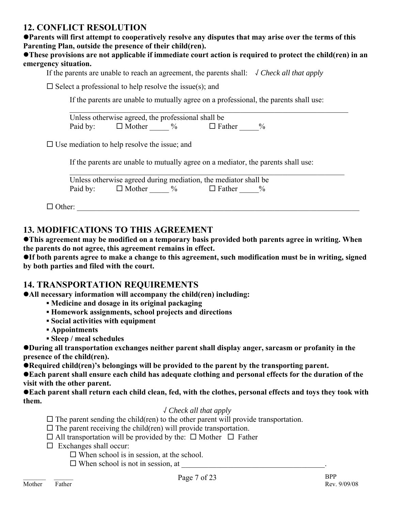## **12. CONFLICT RESOLUTION**

**Parents will first attempt to cooperatively resolve any disputes that may arise over the terms of this Parenting Plan, outside the presence of their child(ren).** 

#### **•These provisions are not applicable if immediate court action is required to protect the child(ren) in an emergency situation.**

If the parents are unable to reach an agreement, the parents shall: √ *Check all that apply*

 $\mathcal{L}_\mathcal{L} = \mathcal{L}_\mathcal{L} = \mathcal{L}_\mathcal{L} = \mathcal{L}_\mathcal{L} = \mathcal{L}_\mathcal{L} = \mathcal{L}_\mathcal{L} = \mathcal{L}_\mathcal{L} = \mathcal{L}_\mathcal{L} = \mathcal{L}_\mathcal{L} = \mathcal{L}_\mathcal{L} = \mathcal{L}_\mathcal{L} = \mathcal{L}_\mathcal{L} = \mathcal{L}_\mathcal{L} = \mathcal{L}_\mathcal{L} = \mathcal{L}_\mathcal{L} = \mathcal{L}_\mathcal{L} = \mathcal{L}_\mathcal{L}$ 

 $\square$  Select a professional to help resolve the issue(s); and

If the parents are unable to mutually agree on a professional, the parents shall use:

 Unless otherwise agreed, the professional shall be Paid by:  $\Box$  Mother  $\%$   $\Box$  Father  $\%$ 

 $\square$  Use mediation to help resolve the issue; and

If the parents are unable to mutually agree on a mediator, the parents shall use:

|          |               |      | Unless otherwise agreed during mediation, the mediator shall be |  |  |
|----------|---------------|------|-----------------------------------------------------------------|--|--|
| Paid by: | $\Box$ Mother | $\%$ | $\Box$ Father                                                   |  |  |

 $\Box$  Other:

## **13. MODIFICATIONS TO THIS AGREEMENT**

**This agreement may be modified on a temporary basis provided both parents agree in writing. When the parents do not agree, this agreement remains in effect.** 

**•If both parents agree to make a change to this agreement, such modification must be in writing, signed by both parties and filed with the court.** 

## **14. TRANSPORTATION REQUIREMENTS**

**• All necessary information will accompany the child(ren) including:** 

- **▪ Medicine and dosage in its original packaging**
- **▪ Homework assignments, school projects and directions**
- **▪ Social activities with equipment**
- **▪ Appointments**
- **▪ Sleep / meal schedules**

**• During all transportation exchanges neither parent shall display anger, sarcasm or profanity in the presence of the child(ren).** 

**• Required child(ren)'s belongings will be provided to the parent by the transporting parent.** 

**• Each parent shall ensure each child has adequate clothing and personal effects for the duration of the visit with the other parent.** 

**• Each parent shall return each child clean, fed, with the clothes, personal effects and toys they took with them.** 

### √ *Check all that apply*

- $\Box$  The parent sending the child(ren) to the other parent will provide transportation.
- $\square$  The parent receiving the child(ren) will provide transportation.
- $\Box$  All transportation will be provided by the:  $\Box$  Mother  $\Box$  Father
- $\Box$  Exchanges shall occur:
	- $\Box$  When school is in session, at the school.
	- When school is not in session, at \_\_\_\_\_\_\_\_\_\_\_\_\_\_\_\_\_\_\_\_\_\_\_\_\_\_\_\_\_\_\_\_\_\_\_\_\_.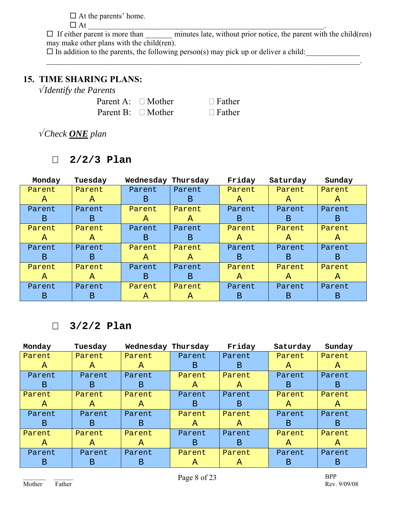$\Box$  At the parents' home. At \_\_\_\_\_\_\_\_\_\_\_\_\_\_\_\_\_\_\_\_\_\_\_\_\_\_\_\_\_\_\_\_\_\_\_\_\_\_\_\_\_\_\_\_\_\_\_\_\_\_\_\_\_\_\_\_\_\_\_\_\_.

 $\Box$  If either parent is more than \_\_\_\_\_\_\_\_ minutes late, without prior notice, the parent with the child(ren) may make other plans with the child(ren).

 $\Box$  In addition to the parents, the following person(s) may pick up or deliver a child:

 $\mathcal{L}_\mathcal{L} = \mathcal{L}_\mathcal{L} = \mathcal{L}_\mathcal{L} = \mathcal{L}_\mathcal{L} = \mathcal{L}_\mathcal{L} = \mathcal{L}_\mathcal{L} = \mathcal{L}_\mathcal{L} = \mathcal{L}_\mathcal{L} = \mathcal{L}_\mathcal{L} = \mathcal{L}_\mathcal{L} = \mathcal{L}_\mathcal{L} = \mathcal{L}_\mathcal{L} = \mathcal{L}_\mathcal{L} = \mathcal{L}_\mathcal{L} = \mathcal{L}_\mathcal{L} = \mathcal{L}_\mathcal{L} = \mathcal{L}_\mathcal{L}$ 

## **15. TIME SHARING PLANS:**

√ *Identify the Parents*

| Parent A: $\Box$ Mother | $\Box$ Father |
|-------------------------|---------------|
| Parent B: $\Box$ Mother | $\Box$ Father |

√ *Check ONE plan*

## **2/2/3 Plan**

| Monday       | Tuesday       | Wednesday    | Thursday     | Friday       | Saturday     | Sunday       |
|--------------|---------------|--------------|--------------|--------------|--------------|--------------|
| Parent       | Parent        | Parent       | Parent       | Parent       | Parent       | Parent       |
| A            | $\mathcal{A}$ | B            | B.           | $\mathbf{A}$ | A            | A            |
| Parent       | Parent        | Parent       | Parent       | Parent       | Parent       | Parent       |
| B            | B.            | $\mathbf{A}$ | A            | B            | B            | B            |
| Parent       | Parent        | Parent       | Parent       | Parent       | Parent       | Parent       |
| $\mathbf{A}$ | $\mathbf{A}$  | B            | B            | A            | $\mathbf{A}$ | $\mathbf{A}$ |
| Parent       | Parent        | Parent       | Parent       | Parent       | Parent       | Parent       |
| B            | B             | A            | A            | B            | B            | B            |
| Parent       | Parent        | Parent       | Parent       | Parent       | Parent       | Parent       |
| $\mathbf{A}$ | $\mathbf{A}$  | B.           | <sub>B</sub> | $\mathbf{A}$ | $\mathbf{A}$ | $\mathbf{A}$ |
| Parent       | Parent        | Parent       | Parent       | Parent       | Parent       | Parent       |
| Β            | Β             | A            | A            | B            | B            | B            |

## **3/2/2 Plan**

| Monday       | Tuesday | Wednesday    | Thursday     | Friday | Saturday | Sunday |
|--------------|---------|--------------|--------------|--------|----------|--------|
| Parent       | Parent  | Parent       | Parent       | Parent | Parent   | Parent |
| $\mathbf{A}$ | A       | $\mathbf{A}$ | B            | B      | A        | A      |
| Parent       | Parent  | Parent       | Parent       | Parent | Parent   | Parent |
| B            | B       | B            | A            | A      | B        | B      |
| Parent       | Parent  | Parent       | Parent       | Parent | Parent   | Parent |
| A            | A       | A            | B            | B      | A        | A      |
| Parent       | Parent  | Parent       | Parent       | Parent | Parent   | Parent |
| B            | B       | В            | $\mathbf{A}$ | A      | B        | B      |
| Parent       | Parent  | Parent       | Parent       | Parent | Parent   | Parent |
| A            | A       | A            | B            | B      | A        | A      |
| Parent       | Parent  | Parent       | Parent       | Parent | Parent   | Parent |
| B            | В       | Β            | A            | A      | В        | B      |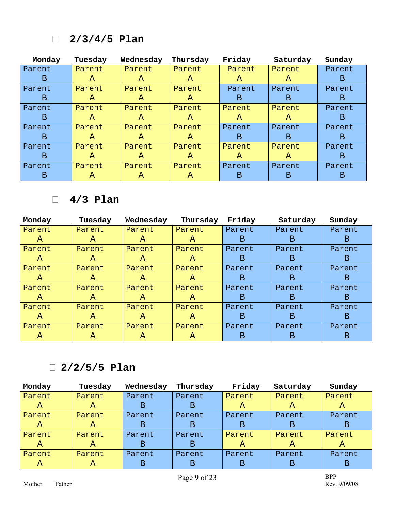## **2/3/4/5 Plan**

| Monday       | Tuesday       | Wednesday     | Thursday     | Friday       | Saturday     | Sunday |
|--------------|---------------|---------------|--------------|--------------|--------------|--------|
| Parent       | Parent        | Parent        | Parent       | Parent       | Parent       | Parent |
| $\mathbf{B}$ | $\mathbf{A}$  | $\mathcal{A}$ | A            | A            | $\mathbf{A}$ | B.     |
| Parent       | Parent        | Parent        | Parent       | Parent       | Parent       | Parent |
| B.           | $\mathbf{A}$  | $\mathcal{A}$ | A            | B            | B.           | B      |
| Parent       | Parent        | Parent        | Parent       | Parent       | Parent       | Parent |
| B.           | $\mathcal{A}$ | $\mathcal{A}$ | A            | A            | A            | B      |
| Parent       | Parent        | Parent        | Parent       | Parent       | Parent       | Parent |
| B.           | $\mathbf{A}$  | $\mathbf{A}$  | $\mathbf{A}$ | B.           | B.           | B.     |
| Parent       | Parent        | Parent        | Parent       | Parent       | Parent       | Parent |
| B            | $\mathbf{A}$  | $\mathbf{A}$  | $\mathbf{A}$ | $\mathbf{A}$ | A            | B      |
| Parent       | Parent        | Parent        | Parent       | Parent       | Parent       | Parent |
| B            | A             | A             | A            | Β            | B            | В      |

## **4/3 Plan**

| Monday | Tuesday      | Wednesday    | Thursday     | Friday | Saturday | Sunday |
|--------|--------------|--------------|--------------|--------|----------|--------|
| Parent | Parent       | Parent       | Parent       | Parent | Parent   | Parent |
| A      | $\mathbf{A}$ | A            | A            | B      | B        | B      |
| Parent | Parent       | Parent       | Parent       | Parent | Parent   | Parent |
| A      | $\mathbf{A}$ | $\mathbf{A}$ | $\mathbf{A}$ | B      | B        | B      |
| Parent | Parent       | Parent       | Parent       | Parent | Parent   | Parent |
| A      | A            | A            | A            | B      | B        | B      |
| Parent | Parent       | Parent       | Parent       | Parent | Parent   | Parent |
| A      | $\mathbf{A}$ | $\mathbf{A}$ | A            | B      | B        | B.     |
| Parent | Parent       | Parent       | Parent       | Parent | Parent   | Parent |
| A      | A            | A            | A            | B      | B        | B      |
| Parent | Parent       | Parent       | Parent       | Parent | Parent   | Parent |
| A      | A            | A            | A            | B      | B        | B      |

## **2/2/5/5 Plan**

| Monday | Tuesday | Wednesday | Thursday | Friday | Saturday | Sunday |
|--------|---------|-----------|----------|--------|----------|--------|
| Parent | Parent  | Parent    | Parent   | Parent | Parent   | Parent |
| A      | A       | B         | B        | A      | A        | A      |
| Parent | Parent  | Parent    | Parent   | Parent | Parent   | Parent |
| A      | A       | B         | B        | B      | Β        | Β      |
| Parent | Parent  | Parent    | Parent   | Parent | Parent   | Parent |
| A      | A       | Β         | B        | A      | A        | A      |
| Parent | Parent  | Parent    | Parent   | Parent | Parent   | Parent |
| А      | A       | B         | B        | В      | В        | в      |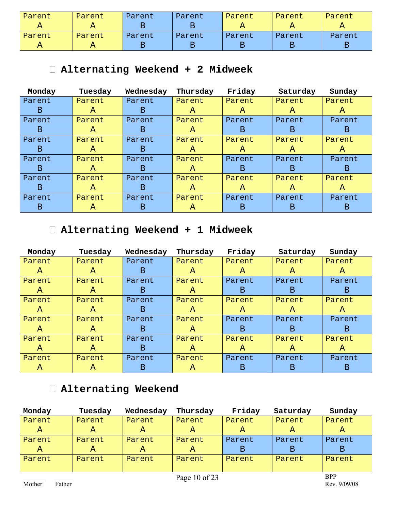| Parent | Parent | Parent | Parent | Parent | Parent | Parent |
|--------|--------|--------|--------|--------|--------|--------|
| А      |        |        |        |        |        | А      |
| Parent | Parent | Parent | Parent | Parent | Parent | Parent |
| А      |        |        |        |        |        |        |

## **Alternating Weekend + 2 Midweek**

| Monday | Tuesday      | Wednesday | Thursday     | Friday       | Saturday     | Sunday       |
|--------|--------------|-----------|--------------|--------------|--------------|--------------|
| Parent | Parent       | Parent    | Parent       | Parent       | Parent       | Parent       |
| B      | $\mathbf{A}$ | B.        | $\mathbf{A}$ | A            | $\mathbf{A}$ | $\mathbf{A}$ |
| Parent | Parent       | Parent    | Parent       | Parent       | Parent       | Parent       |
| B      | A            | B.        | A            | B            | B            | B.           |
| Parent | Parent       | Parent    | Parent       | Parent       | Parent       | Parent       |
| B      | A            | B.        | A            | A            | A            | A            |
| Parent | Parent       | Parent    | Parent       | Parent       | Parent       | Parent       |
| B      | A            | B         | A            | B.           | B.           | B.           |
| Parent | Parent       | Parent    | Parent       | Parent       | Parent       | Parent       |
| B      | $\mathbf{A}$ | B         | A            | $\mathbf{A}$ | $\mathbf{A}$ | $\mathbf{A}$ |
| Parent | Parent       | Parent    | Parent       | Parent       | Parent       | Parent       |
| В      | A            | B         | A            | Β            | В            | В            |

## **Alternating Weekend + 1 Midweek**

| Monday       | Tuesday      | Wednesday | Thursday     | Friday | Saturday     | Sunday       |
|--------------|--------------|-----------|--------------|--------|--------------|--------------|
| Parent       | Parent       | Parent    | Parent       | Parent | Parent       | Parent       |
| $\mathbf{A}$ | $\mathbf{A}$ | B.        | A            | A      | $\mathbf{A}$ | $\mathbf{A}$ |
| Parent       | Parent       | Parent    | Parent       | Parent | Parent       | Parent       |
| A            | A            | B         | A            | B      | B            | B            |
| Parent       | Parent       | Parent    | Parent       | Parent | Parent       | Parent       |
| $\mathbf{A}$ | A            | B.        | A            | A      | A            | $\mathbf{A}$ |
| Parent       | Parent       | Parent    | Parent       | Parent | Parent       | Parent       |
| $\mathbf{A}$ | A            | B.        | A            | B      | B.           | B.           |
| Parent       | Parent       | Parent    | Parent       | Parent | Parent       | Parent       |
| $\mathbf{A}$ | A            | B.        | $\mathbf{A}$ | A      | A            | A            |
| Parent       | Parent       | Parent    | Parent       | Parent | Parent       | Parent       |
| $\mathbf{A}$ | A            | B.        | A            | B      | B.           | B            |

## **Alternating Weekend**

| Monday         | Tuesday | Wednesday | Thursday | Friday | Saturday | Sunday |
|----------------|---------|-----------|----------|--------|----------|--------|
| Parent         | Parent  | Parent    | Parent   | Parent | Parent   | Parent |
| Α              | A       | А         | Α        | A      | A        | A      |
| Parent         | Parent  | Parent    | Parent   | Parent | Parent   | Parent |
| $\overline{A}$ | Α       | A         | Α        | B      | В        | B      |
| Parent         | Parent  | Parent    | Parent   | Parent | Parent   | Parent |
|                |         |           |          |        |          |        |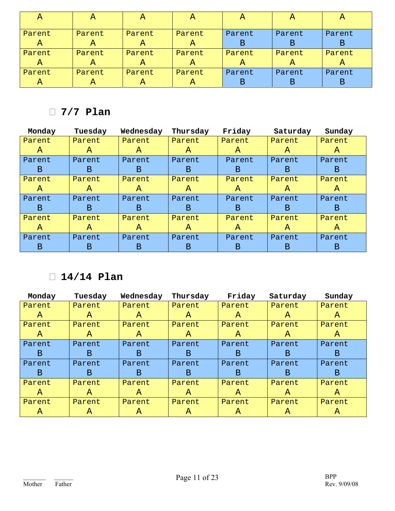| $\mathcal{A}_{\mathcal{A}}$ | А      | A      | $\mathcal{A}$ | Α      | A      | A      |
|-----------------------------|--------|--------|---------------|--------|--------|--------|
| Parent                      | Parent | Parent | Parent        | Parent | Parent | Parent |
| Α                           | A      | A      | Α             | Β      | Β      | B      |
| Parent                      | Parent | Parent | Parent        | Parent | Parent | Parent |
| $\mathsf{A}$                | A      | A      | A             | A      | A      | A      |
| Parent                      | Parent | Parent | Parent        | Parent | Parent | Parent |
| $\overline{A}$              | A      | A      | A             | В      | Β      | В      |

## **7/7 Plan**

| Monday | Tuesday | Wednesday | Thursday | Friday       | Saturday     | Sunday       |
|--------|---------|-----------|----------|--------------|--------------|--------------|
| Parent | Parent  | Parent    | Parent   | Parent       | Parent       | Parent       |
| A      | A       | A         | A        | A            | $\mathbf{A}$ | A            |
| Parent | Parent  | Parent    | Parent   | Parent       | Parent       | Parent       |
| B      | B       | B         | B        | B            | B            | B            |
| Parent | Parent  | Parent    | Parent   | Parent       | Parent       | Parent       |
| A      | A       | A         | A        | $\mathbf{A}$ | A            | $\mathbf{A}$ |
| Parent | Parent  | Parent    | Parent   | Parent       | Parent       | Parent       |
| B      | B       | B         | B        | B            | B.           | B            |
| Parent | Parent  | Parent    | Parent   | Parent       | Parent       | Parent       |
| A      | A       | A         | A        | $\mathbf{A}$ | A            | A            |
| Parent | Parent  | Parent    | Parent   | Parent       | Parent       | Parent       |
| B      | B       | B         | В        | B            | В            | В            |

## **14/14 Plan**

| Monday | Tuesday | Wednesday     | Thursday | Friday | Saturday     | Sunday       |
|--------|---------|---------------|----------|--------|--------------|--------------|
| Parent | Parent  | Parent        | Parent   | Parent | Parent       | Parent       |
| A      | A       | $\mathcal{A}$ | A        | A      | A            | A            |
| Parent | Parent  | Parent        | Parent   | Parent | Parent       | Parent       |
| A      | A       | $\mathbf{A}$  | A        | A      | $\mathbf{A}$ | $\mathbf{A}$ |
| Parent | Parent  | Parent        | Parent   | Parent | Parent       | Parent       |
| B      | Β       | B             | B        | B      | B            | B            |
| Parent | Parent  | Parent        | Parent   | Parent | Parent       | Parent       |
| B      | B.      | B             | B        | B.     | B            | B            |
| Parent | Parent  | Parent        | Parent   | Parent | Parent       | Parent       |
| A      | A       | A             | A        | A      | $\mathbf{A}$ | $\mathbf{A}$ |
| Parent | Parent  | Parent        | Parent   | Parent | Parent       | Parent       |
| A      | A       | A             | A        | A      | A            | A            |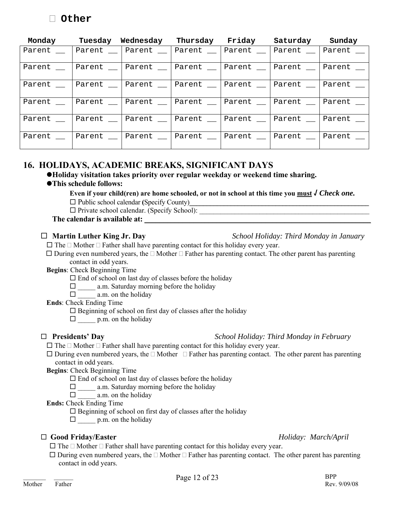| Monday | Tuesday | Wednesday | Thursday | Friday    | Saturday  | Sunday |
|--------|---------|-----------|----------|-----------|-----------|--------|
| Parent | Parent  | Parent    | Parent   | Parent _  | Parent    | Parent |
| Parent | Parent  | Parent    | Parent   | Parent __ | Parent    | Parent |
| Parent | Parent  | Parent    | Parent   | Parent _  | Parent __ | Parent |
| Parent | Parent  | Parent    | Parent   | Parent    | Parent    | Parent |
| Parent | Parent  | Parent    | Parent   | Parent    | Parent    | Parent |
| Parent | Parent, | Parent    | Parent   | Parent __ | Parent __ | Parent |

## **16. HOLIDAYS, ACADEMIC BREAKS, SIGNIFICANT DAYS**

z**Holiday visitation takes priority over regular weekday or weekend time sharing.**

### z**This schedule follows:**

 **Even if your child(ren) are home schooled, or not in school at this time you must √** *Check one.*

 Public school calendar **(**Specify County)**\_\_\_\_\_\_\_\_\_\_\_\_\_\_\_\_\_\_\_\_\_\_\_\_\_\_\_\_\_\_\_\_\_\_\_\_\_\_\_\_\_\_\_\_\_\_\_\_\_\_\_\_** 

 $\Box$  Private school calendar. (Specify School):

#### The calendar is available at: **\_\_\_\_\_\_\_\_\_\_\_\_\_\_**

#### **Martin Luther King Jr. Day** *School Holiday: Third Monday in January*

 $\Box$  The  $\Box$  Mother  $\Box$  Father shall have parenting contact for this holiday every year.

 $\Box$  During even numbered years, the  $\Box$  Mother  $\Box$  Father has parenting contact. The other parent has parenting contact in odd years.

**Begins**: Check Beginning Time

 $\Box$  End of school on last day of classes before the holiday

 $\square$  a.m. Saturday morning before the holiday

 $\Box$  a.m. on the holiday

**Ends**: Check Ending Time

 $\square$  Beginning of school on first day of classes after the holiday

 $\Box$  p.m. on the holiday

#### **Presidents' Day** *School Holiday: Third Monday in February*

 $\Box$  The  $\Box$  Mother  $\Box$  Father shall have parenting contact for this holiday every year.

 $\Box$  During even numbered years, the  $\Box$  Mother  $\Box$  Father has parenting contact. The other parent has parenting contact in odd years.

**Begins**: Check Beginning Time

 $\square$  End of school on last day of classes before the holiday

 $\Box$  a.m. Saturday morning before the holiday

 $\Box$  a.m. on the holiday

**Ends:** Check Ending Time

 $\square$  Beginning of school on first day of classes after the holiday

 $\Box$  p.m. on the holiday

### **Good Friday/Easter** *Holiday: March/April*

- $\Box$  The  $\Box$  Mother  $\Box$  Father shall have parenting contact for this holiday every year.
- $\Box$  During even numbered years, the  $\Box$  Mother  $\Box$  Father has parenting contact. The other parent has parenting contact in odd years.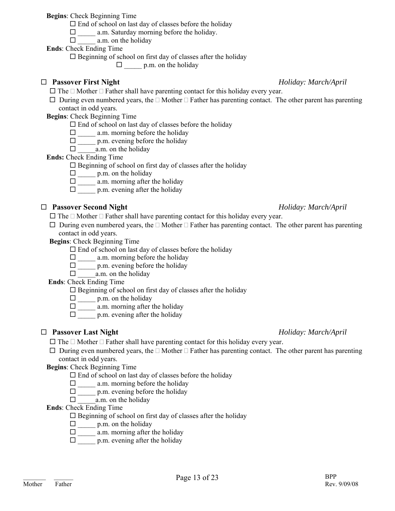**Begins**: Check Beginning Time

 $\Box$  End of school on last day of classes before the holiday

 $\Box$  a.m. Saturday morning before the holiday.

 $\Box$  a.m. on the holiday

**Ends**: Check Ending Time

 $\square$  Beginning of school on first day of classes after the holiday

 $\Box$  p.m. on the holiday

#### **Passover First Night** *Holiday: March/April*

 $\Box$  The  $\Box$  Mother  $\Box$  Father shall have parenting contact for this holiday every year.

 $\Box$  During even numbered years, the  $\Box$  Mother  $\Box$  Father has parenting contact. The other parent has parenting contact in odd years.

**Begins**: Check Beginning Time

- $\Box$  End of school on last day of classes before the holiday
- $\Box$  a.m. morning before the holiday
- $\square$  p.m. evening before the holiday
- $\Box$  a.m. on the holiday

#### **Ends:** Check Ending Time

 $\square$  Beginning of school on first day of classes after the holiday

- $\square$  p.m. on the holiday
- $\Box$  a.m. morning after the holiday
- $\Box$  p.m. evening after the holiday

### **Passover Second Night** *Holiday: March/April*

 $\Box$  The  $\Box$  Mother  $\Box$  Father shall have parenting contact for this holiday every year.

 $\Box$  During even numbered years, the  $\Box$  Mother  $\Box$  Father has parenting contact. The other parent has parenting contact in odd years.

**Begins**: Check Beginning Time

- $\square$  End of school on last day of classes before the holiday
- $\square$  \_\_\_\_\_\_ a.m. morning before the holiday
- $\Box$  p.m. evening before the holiday
- $\Box$  a.m. on the holiday

### **Ends**: Check Ending Time

- $\square$  Beginning of school on first day of classes after the holiday
- $\square$  p.m. on the holiday
- $\square$  a.m. morning after the holiday
- $\Box$  p.m. evening after the holiday

### **Passover Last Night** *Holiday: March/April*

 $\Box$  The  $\Box$  Mother  $\Box$  Father shall have parenting contact for this holiday every year.

- $\Box$  During even numbered years, the  $\Box$  Mother  $\Box$  Father has parenting contact. The other parent has parenting contact in odd years.
- **Begins**: Check Beginning Time
	- $\square$  End of school on last day of classes before the holiday
	- $\Box$  a.m. morning before the holiday
	- $\square$  p.m. evening before the holiday
	- $\Box$  a.m. on the holiday

#### **Ends**: Check Ending Time

 $\square$  Beginning of school on first day of classes after the holiday

- $\Box$  p.m. on the holiday
- $\square$  \_\_\_\_\_\_ a.m. morning after the holiday
- $\Box$  p.m. evening after the holiday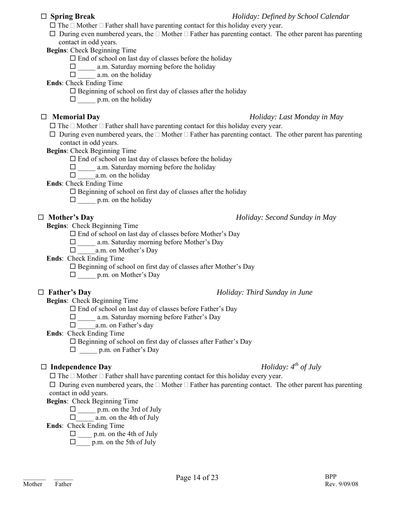#### **Spring Break** *Holiday: Defined by School Calendar*

- $\Box$  The  $\Box$  Mother  $\Box$  Father shall have parenting contact for this holiday every year.
- $\Box$  During even numbered years, the  $\Box$  Mother  $\Box$  Father has parenting contact. The other parent has parenting contact in odd years.

**Begins**: Check Beginning Time

- $\square$  End of school on last day of classes before the holiday
- $\Box$  a.m. Saturday morning before the holiday
- $\Box$  a.m. on the holiday

**Ends**: Check Ending Time

- $\square$  Beginning of school on first day of classes after the holiday
- $\Box$  p.m. on the holiday

#### **Memorial Day** *Holiday: Last Monday in May*

- $\Box$  The  $\Box$  Mother  $\Box$  Father shall have parenting contact for this holiday every year.
- $\Box$  During even numbered years, the  $\Box$  Mother  $\Box$  Father has parenting contact. The other parent has parenting contact in odd years.

**Begins**: Check Beginning Time

- $\Box$  End of school on last day of classes before the holiday
- $\Box$  a.m. Saturday morning before the holiday
- $\Box$  a.m. on the holiday
- **Ends**: Check Ending Time
	- $\Box$  Beginning of school on first day of classes after the holiday
	- $\Box$  p.m. on the holiday

### **Mother's Day** *Holiday: Second Sunday in May*

**Begins**: Check Beginning Time

End of school on last day of classes before Mother's Day

□ \_\_\_\_\_ a.m. Saturday morning before Mother's Day

 $\Box$  a.m. on Mother's Day

**Ends**: Check Ending Time

 $\square$  Beginning of school on first day of classes after Mother's Day

 $\Box$  p.m. on Mother's Day

### **Father's Day** *Holiday: Third Sunday in June*

**Begins**: Check Beginning Time

End of school on last day of classes before Father's Day

□ a.m. Saturday morning before Father's Day

 $\Box$  a.m. on Father's day

**Ends**: Check Ending Time

 $\square$  Beginning of school on first day of classes after Father's Day

 $\Box$  p.m. on Father's Day

## $\Box$  **Independence Day** *<i>Holiday:*  $4^{th}$  *of July Holiday:*  $4^{th}$  *of July*

 $\Box$  The  $\Box$  Mother  $\Box$  Father shall have parenting contact for this holiday every year.

 $\Box$  During even numbered years, the  $\Box$  Mother  $\Box$  Father has parenting contact. The other parent has parenting contact in odd years.

**Begins**: Check Beginning Time

 $\square$  p.m. on the 3rd of July

 $\Box$  a.m. on the 4th of July

**Ends**: Check Ending Time

 $\square$  p.m. on the 4th of July

 $\Box$  p.m. on the 5th of July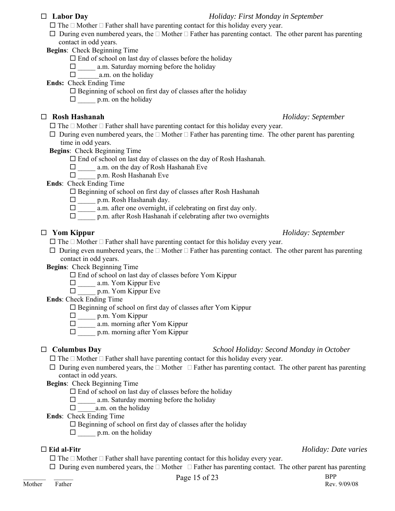- $\Box$  The  $\Box$  Mother  $\Box$  Father shall have parenting contact for this holiday every year.
- $\Box$  During even numbered years, the  $\Box$  Mother  $\Box$  Father has parenting contact. The other parent has parenting contact in odd years.

**Begins**: Check Beginning Time

- $\Box$  End of school on last day of classes before the holiday
- $\Box$  a.m. Saturday morning before the holiday
- $\Box$  a.m. on the holiday

**Ends:** Check Ending Time

- $\square$  Beginning of school on first day of classes after the holiday
- $\Box$  p.m. on the holiday

### **Rosh Hashanah** *Holiday: September*

- $\Box$  The  $\Box$  Mother  $\Box$  Father shall have parenting contact for this holiday every year.
- $\Box$  During even numbered years, the  $\Box$  Mother  $\Box$  Father has parenting time. The other parent has parenting time in odd years.
- **Begins**: Check Beginning Time
	- $\square$  End of school on last day of classes on the day of Rosh Hashanah.
	- □ a.m. on the day of Rosh Hashanah Eve
	- $\Box$  p.m. Rosh Hashanah Eve
- **Ends**: Check Ending Time

Beginning of school on first day of classes after Rosh Hashanah

- $\square$  p.m. Rosh Hashanah day.
- $\Box$  a.m. after one overnight, if celebrating on first day only.
- $\Box$  p.m. after Rosh Hashanah if celebrating after two overnights

## **Yom Kippur** *Holiday: September*

 $\Box$  The  $\Box$  Mother  $\Box$  Father shall have parenting contact for this holiday every year.

 $\Box$  During even numbered years, the  $\Box$  Mother  $\Box$  Father has parenting contact. The other parent has parenting contact in odd years.

**Begins**: Check Beginning Time

- $\square$  End of school on last day of classes before Yom Kippur
- $\square$  \_\_\_\_\_ a.m. Yom Kippur Eve
- $\Box$  p.m. Yom Kippur Eve

**Ends**: Check Ending Time

- $\square$  Beginning of school on first day of classes after Yom Kippur
- $\Box$  p.m. Yom Kippur
- $\square$  a.m. morning after Yom Kippur
- $\Box$  p.m. morning after Yom Kippur

### **Columbus Day** *School Holiday: Second Monday in October*

- $\Box$  The  $\Box$  Mother  $\Box$  Father shall have parenting contact for this holiday every year.
- $\Box$  During even numbered years, the  $\Box$  Mother  $\Box$  Father has parenting contact. The other parent has parenting contact in odd years.

**Begins**: Check Beginning Time

- $\Box$  End of school on last day of classes before the holiday
- $\Box$  a.m. Saturday morning before the holiday
- $\Box$  a.m. on the holiday
- **Ends**: Check Ending Time
	- $\square$  Beginning of school on first day of classes after the holiday
	- $\square$  p.m. on the holiday

### **Eid al-Fitr** *Holiday: Date varies*

 $\Box$  The  $\Box$  Mother  $\Box$  Father shall have parenting contact for this holiday every year.

- 
- $\Box$  During even numbered years, the  $\Box$  Mother  $\Box$  Father has parenting contact. The other parent has parenting

 **Labor Day** *Holiday: First Monday in September*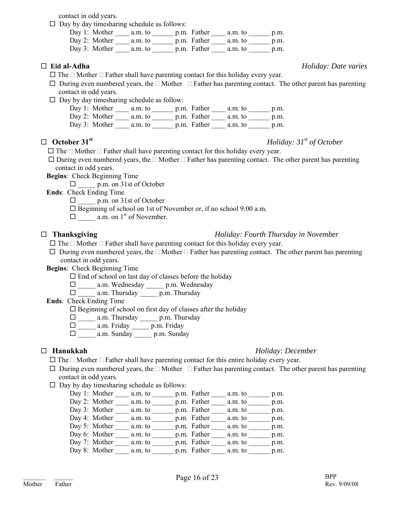contact in odd years.

 $\Box$  Day by day timesharing schedule as follows:

| Day 1: Mother a.m. to   | p.m. Father a.m. to | p.m. |
|-------------------------|---------------------|------|
| Day 2: Mother $a.m.$ to | p.m. Father a.m. to | p.m. |
| Day 3: Mother $a.m.$ to | p.m. Father a.m. to | p.m. |

- $\Box$  The  $\Box$  Mother  $\Box$  Father shall have parenting contact for this holiday every year.
- $\Box$  During even numbered years, the  $\Box$  Mother  $\Box$  Father has parenting contact. The other parent has parenting contact in odd years.
- $\Box$  Day by day timesharing schedule as follow:

| Day 1: Mother $a.m.$ to |                     | p.m. Father a.m. to | p.m. |
|-------------------------|---------------------|---------------------|------|
| Day 2: Mother $a.m.$ to | p.m. Father a.m. to |                     | p.m. |
| Day 3: Mother a.m. to   | p.m. Father a.m. to |                     | p.m. |

#### **October 31st** *Holiday: 31st of October*

 $\Box$  The  $\Box$  Mother  $\Box$  Father shall have parenting contact for this holiday every year.

 $\Box$  During even numbered years, the  $\Box$  Mother  $\Box$  Father has parenting contact. The other parent has parenting contact in odd years.

**Begins**: Check Beginning Time

 $\Box$  p.m. on 31st of October

**Ends**: Check Ending Time

 $\Box$  p.m. on 31st of October

□ Beginning of school on 1st of November or, if no school 9:00 a.m.

 $\Box$  a.m. on 1<sup>st</sup> of November.

#### **Thanksgiving** *Holiday: Fourth Thursday in November*

- $\square$  The  $\square$  Mother  $\square$  Father shall have parenting contact for this holiday every year.
- $\Box$  During even numbered years, the  $\Box$  Mother  $\Box$  Father has parenting contact. The other parent has parenting contact in odd years.

**Begins**: Check Beginning Time

- $\square$  End of school on last day of classes before the holiday
- \_\_\_\_\_ a.m. Wednesday \_\_\_\_\_ p.m. Wednesday
- $\Box$  a.m. Thursday  $\Box$  p.m. Thursday

**Ends**: Check Ending Time

- $\square$  Beginning of school on first day of classes after the holiday
- $\Box$  a.m. Thursday p.m. Thursday
- $\Box$  a.m. Friday p.m. Friday
- $\square$  \_\_\_\_\_\_\_ a.m. Sunday \_\_\_\_\_\_\_ p.m. Sunday

#### **Hanukkah** *Holiday: December*

- $\Box$  The  $\Box$  Mother  $\Box$  Father shall have parenting contact for this entire holiday every year.
- $\Box$  During even numbered years, the  $\Box$  Mother  $\Box$  Father has parenting contact. The other parent has parenting contact in odd years.
- $\square$  Day by day timesharing schedule as follows:

| Day 1: Mother | a.m. to | p.m. Father | a.m. to | p.m. |
|---------------|---------|-------------|---------|------|
| Day 2: Mother | a.m. to | p.m. Father | a.m. to | p.m. |
| Day 3: Mother | a.m. to | p.m. Father | a.m. to | p.m. |
| Day 4: Mother | a.m. to | p.m. Father | a.m. to | p.m. |
| Day 5: Mother | a.m. to | p.m. Father | a.m. to | p.m. |
| Day 6: Mother | a.m. to | p.m. Father | a.m. to | p.m. |
| Day 7: Mother | a.m. to | p.m. Father | a.m. to | p.m. |
| Day 8: Mother | a.m. to | p.m. Father | a.m. to | p.m. |

#### **Eid al-Adha** *Holiday: Date varies*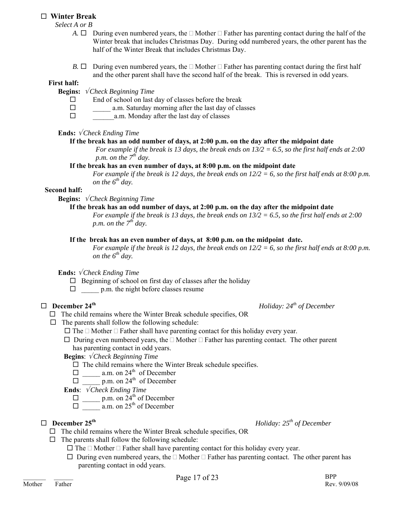#### **Winter Break**

*Select A or B* 

- *A.*  $\Box$  During even numbered years, the  $\Box$  Mother  $\Box$  Father has parenting contact during the half of the Winter break that includes Christmas Day. During odd numbered years, the other parent has the half of the Winter Break that includes Christmas Day.
- *B.*  $\Box$  During even numbered years, the  $\Box$  Mother  $\Box$  Father has parenting contact during the first half and the other parent shall have the second half of the break. This is reversed in odd years.

#### **First half:**

- **Begins:**√ *Check Beginning Time* 
	- $\Box$  End of school on last day of classes before the break
	- $\Box$  a.m. Saturday morning after the last day of classes
	- $\Box$  a.m. Monday after the last day of classes

#### **Ends:** √ *Check Ending Time*

#### **If the break has an odd number of days, at 2:00 p.m. on the day after the midpoint date**

*For example if the break is 13 days, the break ends on 13/2 = 6.5, so the first half ends at 2:00 p.m. on the 7th day.* 

#### **If the break has an even number of days, at 8:00 p.m. on the midpoint date**

*For example if the break is 12 days, the break ends on 12/2 = 6, so the first half ends at 8:00 p.m. on the*  $6^{th}$  *day.* 

#### **Second half:**

**Begins:** √ *Check Beginning Time* 

#### **If the break has an odd number of days, at 2:00 p.m. on the day after the midpoint date**

*For example if the break is 13 days, the break ends on 13/2 = 6.5, so the first half ends at 2:00 p.m. on the 7th day.* 

#### **If the break has an even number of days, at 8:00 p.m. on the midpoint date.**

*For example if the break is 12 days, the break ends on 12/2 = 6, so the first half ends at 8:00 p.m. on the*  $6^{th}$  *day.* 

**Ends:** √ *Check Ending Time*

- $\Box$  Beginning of school on first day of classes after the holiday
- $\Box$  p.m. the night before classes resume

## $\Box$  **December 24<sup>th</sup>** *December 24<sup>th</sup>**of December**Holiday: 24<sup>th</sup> of December*

- $\Box$  The child remains where the Winter Break schedule specifies, OR
- $\Box$  The parents shall follow the following schedule:
	- $\Box$  The  $\Box$  Mother  $\Box$  Father shall have parenting contact for this holiday every year.
	- $\Box$  During even numbered years, the  $\Box$  Mother  $\Box$  Father has parenting contact. The other parent has parenting contact in odd years.

**Begins**: √ *Check Beginning Time* 

- $\square$  The child remains where the Winter Break schedule specifies.
- $\Box$  a.m. on 24<sup>th</sup> of December
- $\Box$  p.m. on 24<sup>th</sup> of December

**Ends**: √ *Check Ending Time*

- $\Box$  p.m. on  $24^{\text{th}}$  of December
- $\Box$  a.m. on 25<sup>th</sup> of December

## **December 25th** *Holiday: 25th of December*

### $\Box$  The child remains where the Winter Break schedule specifies, OR

- $\Box$  The parents shall follow the following schedule:
	- $\Box$  The  $\Box$  Mother  $\Box$  Father shall have parenting contact for this holiday every year.
	- $\Box$  During even numbered years, the  $\Box$  Mother  $\Box$  Father has parenting contact. The other parent has parenting contact in odd years.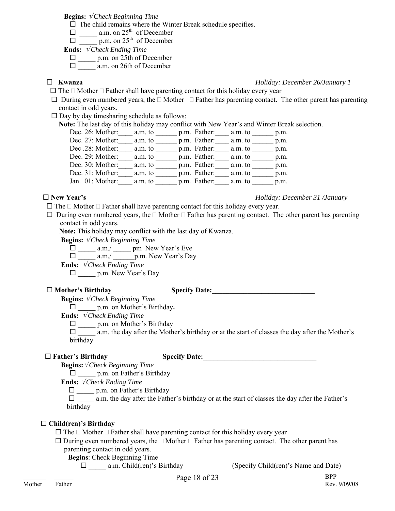**Begins:** √ *Check Beginning Time* 

 $\Box$  The child remains where the Winter Break schedule specifies.

 $\Box$  a.m. on 25<sup>th</sup> of December

 $\Box$  p.m. on 25<sup>th</sup> of December

**Ends:** √ *Check Ending Time*

□ \_\_\_\_\_ p.m. on 25th of December

 $\Box$  a.m. on 26th of December

**Kwanza** *Holiday: December 26/January 1*

 $\Box$  The  $\Box$  Mother  $\Box$  Father shall have parenting contact for this holiday every year

 $\Box$  During even numbered years, the  $\Box$  Mother  $\Box$  Father has parenting contact. The other parent has parenting contact in odd years.

 $\square$  Day by day timesharing schedule as follows:

 **Note:** The last day of this holiday may conflict with New Year's and Winter Break selection.

| Dec. 26: Mother: | a.m. to | p.m. Father: | a.m. to | p.m. |
|------------------|---------|--------------|---------|------|
| Dec. 27: Mother: | a.m. to | p.m. Father: | a.m. to | p.m. |
| Dec .28: Mother: | a.m. to | p.m. Father: | a.m. to | p.m. |
| Dec. 29: Mother: | a.m. to | p.m. Father: | a.m. to | p.m. |
| Dec. 30: Mother: | a.m. to | p.m. Father: | a.m. to | p.m. |
| Dec. 31: Mother: | a.m. to | p.m. Father: | a.m. to | p.m. |
| Jan. 01: Mother: | a.m. to | p.m. Father: | a.m. to | p.m. |
|                  |         |              |         |      |

#### **New Year's** *Holiday: December 31 /January*

 $\Box$  The  $\Box$  Mother  $\Box$  Father shall have parenting contact for this holiday every year.

 $\Box$  During even numbered years, the  $\Box$  Mother  $\Box$  Father has parenting contact. The other parent has parenting contact in odd years.

**Note:** This holiday may conflict with the last day of Kwanza.

**Begins:** √ *Check Beginning Time*

 $\Box$  a.m./ pm New Year's Eve

 $\Box$  a.m./ p.m. New Year's Day

**Ends:** √ *Check Ending Time*

**\_\_\_\_\_** p.m. New Year's Day

#### $\Box$  Mother's Birthday  $\Box$  Specify Date:

**Begins:** √ *Check Beginning Time*

**\_\_\_\_\_** p.m. on Mother's Birthday**.** 

**Ends:** √ *Check Ending Time*

**\_\_\_\_\_** p.m. on Mother's Birthday

 \_\_\_\_\_ a.m. the day after the Mother's birthday or at the start of classes the day after the Mother's birthday

### $\Box$  Father's Birthday  $\Box$  Specify Date:

**Begins:**√ *Check Beginning Time*

 $\Box$  p.m. on Father's Birthday

**Ends:** √ *Check Ending Time*

**\_\_\_\_\_** p.m. on Father's Birthday

 \_\_\_\_\_ a.m. the day after the Father's birthday or at the start of classes the day after the Father's birthday

### **Child(ren)'s Birthday**

 $\Box$  The  $\Box$  Mother  $\Box$  Father shall have parenting contact for this holiday every year

 $\Box$  During even numbered years, the  $\Box$  Mother  $\Box$  Father has parenting contact. The other parent has parenting contact in odd years.

**Begins**: Check Beginning Time

\_\_\_\_\_ a.m. Child(ren)'s Birthday (Specify Child(ren)'s Name and Date)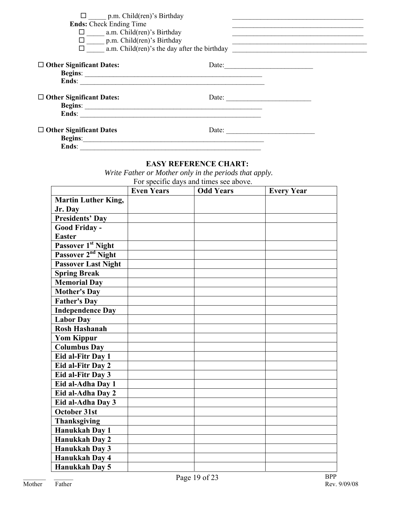| $\Box$ p.m. Child(ren)'s Birthday<br><b>Ends:</b> Check Ending Time<br>$\Box$ a.m. Child(ren)'s Birthday<br>$\Box$ p.m. Child(ren)'s Birthday |                       | $\Box$ a.m. Child(ren)'s the day after the birthday |
|-----------------------------------------------------------------------------------------------------------------------------------------------|-----------------------|-----------------------------------------------------|
| $\Box$ Other Significant Dates:                                                                                                               | Date: $\qquad \qquad$ |                                                     |
| $\Box$ Other Significant Dates:<br>Ends:                                                                                                      | Date: $\qquad \qquad$ |                                                     |
| $\Box$ Other Significant Dates<br>Ends:                                                                                                       | Date:                 |                                                     |

### **EASY REFERENCE CHART:**

 *Write Father or Mother only in the periods that apply.*

|                                | <b>Even Years</b> | <b>Odd Years</b> | <b>Every Year</b> |
|--------------------------------|-------------------|------------------|-------------------|
| <b>Martin Luther King,</b>     |                   |                  |                   |
| Jr. Day                        |                   |                  |                   |
| <b>Presidents' Day</b>         |                   |                  |                   |
| Good Friday -                  |                   |                  |                   |
| <b>Easter</b>                  |                   |                  |                   |
| Passover 1st Night             |                   |                  |                   |
| Passover 2 <sup>nd</sup> Night |                   |                  |                   |
| <b>Passover Last Night</b>     |                   |                  |                   |
| <b>Spring Break</b>            |                   |                  |                   |
| <b>Memorial Day</b>            |                   |                  |                   |
| <b>Mother's Day</b>            |                   |                  |                   |
| <b>Father's Day</b>            |                   |                  |                   |
| <b>Independence Day</b>        |                   |                  |                   |
| <b>Labor Day</b>               |                   |                  |                   |
| <b>Rosh Hashanah</b>           |                   |                  |                   |
| <b>Yom Kippur</b>              |                   |                  |                   |
| <b>Columbus Day</b>            |                   |                  |                   |
| Eid al-Fitr Day 1              |                   |                  |                   |
| Eid al-Fitr Day 2              |                   |                  |                   |
| Eid al-Fitr Day 3              |                   |                  |                   |
| Eid al-Adha Day 1              |                   |                  |                   |
| Eid al-Adha Day 2              |                   |                  |                   |
| Eid al-Adha Day 3              |                   |                  |                   |
| October 31st                   |                   |                  |                   |
| <b>Thanksgiving</b>            |                   |                  |                   |
| Hanukkah Day 1                 |                   |                  |                   |
| <b>Hanukkah Day 2</b>          |                   |                  |                   |
| <b>Hanukkah Day 3</b>          |                   |                  |                   |
| <b>Hanukkah Day 4</b>          |                   |                  |                   |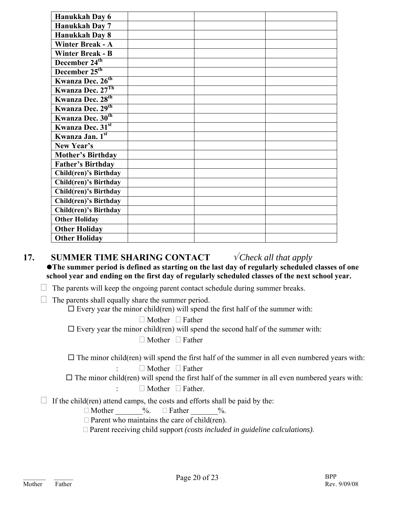| Hanukkah Day 6               |  |
|------------------------------|--|
| Hanukkah Day 7               |  |
| Hanukkah Day 8               |  |
| <b>Winter Break - A</b>      |  |
| <b>Winter Break - B</b>      |  |
| December $24^{\text{th}}$    |  |
| December 25 <sup>th</sup>    |  |
| Kwanza Dec. 26 <sup>th</sup> |  |
| Kwanza Dec. 27Th             |  |
| Kwanza Dec. 28 <sup>th</sup> |  |
| Kwanza Dec. 29th             |  |
| Kwanza Dec. 30 <sup>th</sup> |  |
| Kwanza Dec. 31st             |  |
| Kwanza Jan. 1st              |  |
| New Year's                   |  |
| <b>Mother's Birthday</b>     |  |
| <b>Father's Birthday</b>     |  |
| Child(ren)'s Birthday        |  |
| <b>Child(ren)'s Birthday</b> |  |
| Child(ren)'s Birthday        |  |
| Child(ren)'s Birthday        |  |
| Child(ren)'s Birthday        |  |
| <b>Other Holiday</b>         |  |
| <b>Other Holiday</b>         |  |
| <b>Other Holiday</b>         |  |

## **17.** SUMMER TIME SHARING CONTACT  $\sqrt{Check}$  all that apply

**•The summer period is defined as starting on the last day of regularly scheduled classes of one school year and ending on the first day of regularly scheduled classes of the next school year.** 

 $\Box$  The parents will keep the ongoing parent contact schedule during summer breaks.

 $\Box$  The parents shall equally share the summer period.

 $\square$  Every year the minor child(ren) will spend the first half of the summer with:

 $\Box$  Mother  $\Box$  Father

 $\square$  Every year the minor child(ren) will spend the second half of the summer with:

 $\Box$  Mother  $\Box$  Father

 $\Box$  The minor child(ren) will spend the first half of the summer in all even numbered years with:

 $\Box$  Mother  $\Box$  Father

 $\Box$  The minor child(ren) will spend the first half of the summer in all even numbered years with:

 $\Box$  Mother  $\Box$  Father.

 $\Box$  If the child(ren) attend camps, the costs and efforts shall be paid by the:

 $\Box$  Mother  $\degree$ %.  $\Box$  Father  $\degree$ %.

 $\Box$  Parent who maintains the care of child(ren).

Parent receiving child support *(costs included in guideline calculations)*.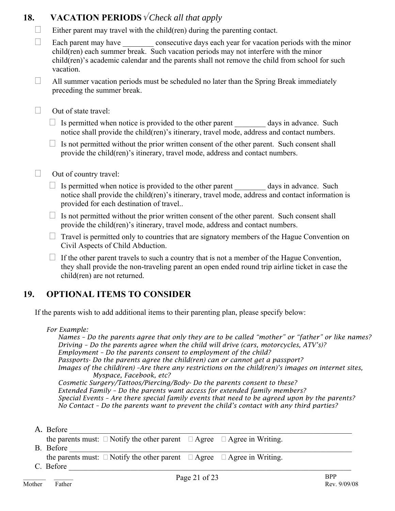## **18.** VACATION PERIODS √*Check all that apply*

 $\Box$  Either parent may travel with the child(ren) during the parenting contact.

 $\Box$  Each parent may have consecutive days each year for vacation periods with the minor child(ren) each summer break. Such vacation periods may not interfere with the minor child(ren)'s academic calendar and the parents shall not remove the child from school for such vacation.

 $\Box$  All summer vacation periods must be scheduled no later than the Spring Break immediately preceding the summer break.

 $\Box$  Out of state travel:

 $\Box$  Is permitted when notice is provided to the other parent days in advance. Such notice shall provide the child(ren)'s itinerary, travel mode, address and contact numbers.

 $\Box$  Is not permitted without the prior written consent of the other parent. Such consent shall provide the child(ren)'s itinerary, travel mode, address and contact numbers.

- $\Box$  Out of country travel:
	- $\Box$  Is permitted when notice is provided to the other parent \_\_\_\_\_\_\_\_\_ days in advance. Such notice shall provide the child(ren)'s itinerary, travel mode, address and contact information is provided for each destination of travel..
	- $\Box$  Is not permitted without the prior written consent of the other parent. Such consent shall provide the child(ren)'s itinerary, travel mode, address and contact numbers.
	- $\Box$  Travel is permitted only to countries that are signatory members of the Hague Convention on Civil Aspects of Child Abduction.
	- $\Box$  If the other parent travels to such a country that is not a member of the Hague Convention, they shall provide the non-traveling parent an open ended round trip airline ticket in case the child(ren) are not returned.

## **19. OPTIONAL ITEMS TO CONSIDER**

If the parents wish to add additional items to their parenting plan, please specify below:

### *For Example:*

*Names – Do the parents agree that only they are to be called "mother" or "father" or like names? Driving – Do the parents agree when the child will drive (cars, motorcycles, ATV's)? Employment – Do the parents consent to employment of the child? Passports- Do the parents agree the child(ren) can or cannot get a passport? Images of the child(ren) -Are there any restrictions on the child(ren)'s images on internet sites, Myspace, Facebook, etc?* 

*Cosmetic Surgery/Tattoos/Piercing/Body- Do the parents consent to these? Extended Family – Do the parents want access for extended family members? Special Events – Are there special family events that need to be agreed upon by the parents? No Contact – Do the parents want to prevent the child's contact with any third parties?* 

A. Before

the parents must:  $\Box$  Notify the other parent  $\Box$  Agree  $\Box$  Agree in Writing.

B. Before

the parents must:  $\Box$  Notify the other parent  $\Box$  Agree  $\Box$  Agree in Writing.

 $C.$  Before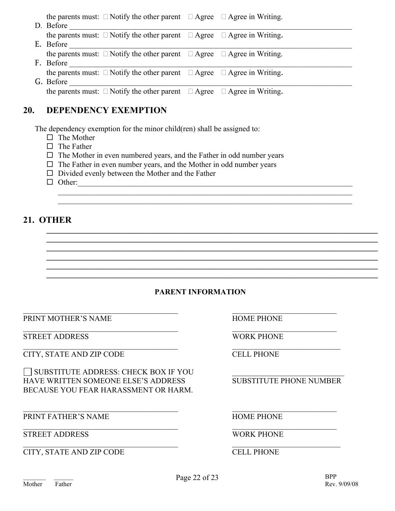the parents must:  $\Box$  Notify the other parent  $\Box$  Agree  $\Box$  Agree in Writing.

| D. Before                                                                              |  |
|----------------------------------------------------------------------------------------|--|
| the parents must: $\Box$ Notify the other parent $\Box$ Agree $\Box$ Agree in Writing. |  |
| E. Before                                                                              |  |
| the parents must: $\Box$ Notify the other parent $\Box$ Agree $\Box$ Agree in Writing. |  |
| F. Before                                                                              |  |
| the parents must: $\Box$ Notify the other parent $\Box$ Agree $\Box$ Agree in Writing. |  |
| G. Before                                                                              |  |
| the parents must: $\Box$ Notify the other parent $\Box$ Agree $\Box$ Agree in Writing. |  |

## **20. DEPENDENCY EXEMPTION**

The dependency exemption for the minor child(ren) shall be assigned to:

- $\Box$  The Mother
- $\Box$  The Father
- $\Box$  The Mother in even numbered years, and the Father in odd number years
- $\Box$  The Father in even number years, and the Mother in odd number years
- $\square$  Divided evenly between the Mother and the Father
- $\Box$  Other:

## **21. OTHER**

### **PARENT INFORMATION**

 $\mathcal{L}_\text{max}$  , and the contribution of the contribution of the contribution of the contribution of the contribution of the contribution of the contribution of the contribution of the contribution of the contribution of t

 $\mathcal{L}_\text{max}$  , and the contribution of the contribution of the contribution of the contribution of the contribution of the contribution of the contribution of the contribution of the contribution of the contribution of t

 $\mathcal{L}_\text{max}$  , and the set of the set of the set of the set of the set of the set of the set of the set of the set of  $\mathcal{L}_\text{max}$  , and the contribution of the contribution of the contribution of the contribution of the contribution of the contribution of the contribution of the contribution of the contribution of the contribution of t

\_\_\_\_\_\_\_\_\_\_\_\_\_\_\_\_\_\_\_\_\_\_\_\_\_\_\_\_\_\_\_\_\_\_\_\_\_\_\_\_\_\_\_\_\_\_\_\_\_\_\_\_\_\_\_\_\_\_\_\_\_\_\_\_\_\_\_\_\_\_\_\_\_\_\_\_\_ \_\_\_\_\_\_\_\_\_\_\_\_\_\_\_\_\_\_\_\_\_\_\_\_\_\_\_\_\_\_\_\_\_\_\_\_\_\_\_\_\_\_\_\_\_\_\_\_\_\_\_\_\_\_\_\_\_\_\_\_\_\_\_\_\_\_\_\_\_\_\_\_\_\_\_\_\_ \_\_\_\_\_\_\_\_\_\_\_\_\_\_\_\_\_\_\_\_\_\_\_\_\_\_\_\_\_\_\_\_\_\_\_\_\_\_\_\_\_\_\_\_\_\_\_\_\_\_\_\_\_\_\_\_\_\_\_\_\_\_\_\_\_\_\_\_\_\_\_\_\_\_\_\_\_ \_\_\_\_\_\_\_\_\_\_\_\_\_\_\_\_\_\_\_\_\_\_\_\_\_\_\_\_\_\_\_\_\_\_\_\_\_\_\_\_\_\_\_\_\_\_\_\_\_\_\_\_\_\_\_\_\_\_\_\_\_\_\_\_\_\_\_\_\_\_\_\_\_\_\_\_\_ \_\_\_\_\_\_\_\_\_\_\_\_\_\_\_\_\_\_\_\_\_\_\_\_\_\_\_\_\_\_\_\_\_\_\_\_\_\_\_\_\_\_\_\_\_\_\_\_\_\_\_\_\_\_\_\_\_\_\_\_\_\_\_\_\_\_\_\_\_\_\_\_\_\_\_\_\_ \_\_\_\_\_\_\_\_\_\_\_\_\_\_\_\_\_\_\_\_\_\_\_\_\_\_\_\_\_\_\_\_\_\_\_\_\_\_\_\_\_\_\_\_\_\_\_\_\_\_\_\_\_\_\_\_\_\_\_\_\_\_\_\_\_\_\_\_\_\_\_\_\_\_\_\_\_

 $\mathcal{L}_\text{max}$  , and the contribution of the contribution of the contribution of the contribution of the contribution of the contribution of the contribution of the contribution of the contribution of the contribution of t PRINT MOTHER'S NAME HOME PHONE

STREET ADDRESS WORK PHONE

**CITY, STATE AND ZIP CODE CELL PHONE** 

 $\Box$  SUBSTITUTE ADDRESS: CHECK BOX IF YOU HAVE WRITTEN SOMEONE ELSE'S ADDRESS SUBSTITUTE PHONE NUMBER BECAUSE YOU FEAR HARASSMENT OR HARM.

PRINT FATHER'S NAME HOME PHONE

STREET ADDRESS WORK PHONE

 $\mathcal{L}_\text{max}$  , and the contribution of the contribution of the contribution of the contribution of the contribution of the contribution of the contribution of the contribution of the contribution of the contribution of t CITY, STATE AND ZIP CODE CELL PHONE

 $\mathcal{L}_\text{max}$  , and the contribution of the contribution of the contribution of the contribution of the contribution of the contribution of the contribution of the contribution of the contribution of the contribution of t

 $\mathcal{L}_\text{max} = \frac{1}{2} \sum_{i=1}^n \mathcal{L}_\text{max}(\mathbf{x}_i - \mathbf{y}_i)$